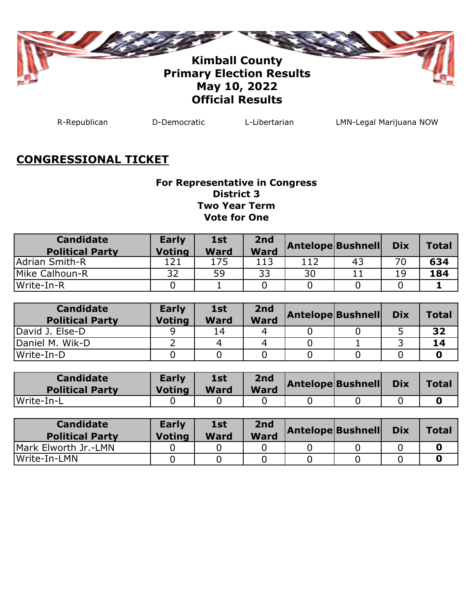

R-Republican D-Democratic L-Libertarian LMN-Legal Marijuana NOW

### **CONGRESSIONAL TICKET**

#### **For Representative in Congress District 3 Two Year Term Vote for One**

| <b>Candidate</b><br><b>Political Party</b> | <b>Early</b><br><b>Voting</b> | 1st<br><b>Ward</b> | 2nd<br><b>Ward</b> | <b>Antelope Bushnell</b> |    | <b>Dix</b> | <b>Total</b> |
|--------------------------------------------|-------------------------------|--------------------|--------------------|--------------------------|----|------------|--------------|
| lAdrian Smith-R                            |                               | 175                | 113                | 112                      | 43 | 70         | 634          |
| Mike Calhoun-R                             | 32                            | 59                 | 33                 | 30                       |    | 19         | 184          |
| Write-In-R                                 |                               |                    |                    |                          |    |            |              |

| <b>Candidate</b><br><b>Political Party</b> | <b>Early</b><br><b>Voting</b> | 1st<br><b>Ward</b> | 2nd<br><b>Ward</b> | <b>Antelope Bushnell</b> | <b>Dix</b> | <b>Total</b> |
|--------------------------------------------|-------------------------------|--------------------|--------------------|--------------------------|------------|--------------|
| David J. Else-D                            |                               | 14                 | 4                  |                          |            | 32           |
| IDaniel M. Wik-D                           |                               | 4                  |                    |                          |            | 14           |
| lWrite-In-D                                |                               |                    |                    |                          |            |              |

| <b>Candidate</b><br><b>Political Party</b> | <b>Early</b><br><b>Voting</b> | <b>1st</b><br><b>Ward</b> | 2nd<br><b>Ward</b> | <b>Antelope Bushnell</b> | <b>Dix</b> | Total |
|--------------------------------------------|-------------------------------|---------------------------|--------------------|--------------------------|------------|-------|
| Write-In-L                                 |                               |                           |                    |                          |            |       |

| <b>Candidate</b><br><b>Political Party</b> | <b>Early</b><br><b>Voting</b> | 1st<br><b>Ward</b> | 2nd<br><b>Ward</b> | <b>Antelope Bushnell</b> | <b>Dix</b> | <b>Total</b> |
|--------------------------------------------|-------------------------------|--------------------|--------------------|--------------------------|------------|--------------|
| Mark Elworth Jr.-LMN                       |                               |                    |                    |                          |            |              |
| lWrite-In-LMN                              |                               |                    |                    |                          |            |              |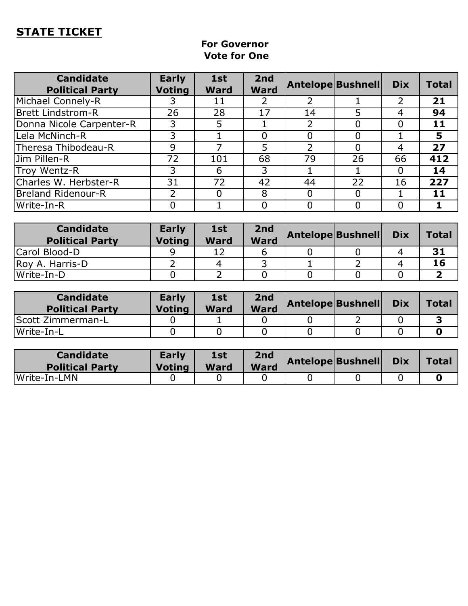## **STATE TICKET**

#### **For Governor Vote for One**

| <b>Candidate</b><br><b>Political Party</b> | <b>Early</b><br><b>Voting</b> | 1st<br><b>Ward</b> | 2nd<br><b>Ward</b> | <b>Antelope Bushnell</b> |    | <b>Dix</b> | <b>Total</b> |
|--------------------------------------------|-------------------------------|--------------------|--------------------|--------------------------|----|------------|--------------|
| Michael Connely-R                          |                               | 11                 |                    |                          |    |            | 21           |
| <b>Brett Lindstrom-R</b>                   | 26                            | 28                 | 17                 | 14                       | 5  | 4          | 94           |
| Donna Nicole Carpenter-R                   | 3                             | 5                  |                    |                          |    |            | 11           |
| Lela McNinch-R                             | 3                             |                    | 0                  |                          |    |            | 5            |
| Theresa Thibodeau-R                        | 9                             |                    | 5                  |                          |    | 4          | 27           |
| Jim Pillen-R                               | 72                            | 101                | 68                 | 79                       | 26 | 66         | 412          |
| Troy Wentz-R                               | 3                             | 6                  | 3                  |                          |    |            | 14           |
| Charles W. Herbster-R                      | 31                            | 72                 | 42                 | 44                       | 22 | 16         | 227          |
| Breland Ridenour-R                         |                               | 0                  | 8                  |                          |    |            | 11           |
| Write-In-R                                 |                               |                    | 0                  |                          |    |            |              |

| <b>Candidate</b><br><b>Political Party</b> | <b>Early</b><br><b>Voting</b> | 1st<br><b>Ward</b> | 2nd<br><b>Ward</b> | <b>Antelope Bushnell</b> | <b>Dix</b> | <b>Total</b> |
|--------------------------------------------|-------------------------------|--------------------|--------------------|--------------------------|------------|--------------|
| Carol Blood-D                              |                               |                    |                    |                          |            | 31           |
| Roy A. Harris-D                            |                               | 4                  |                    |                          |            | 16           |
| Write-In-D                                 |                               |                    |                    |                          |            |              |

| <b>Candidate</b><br><b>Political Party</b> | <b>Early</b><br><b>Voting</b> | <b>1st</b><br><b>Ward</b> | 2nd<br><b>Ward</b> | <b>Antelope Bushnell</b> | <b>Dix</b> | <b>Total</b> |
|--------------------------------------------|-------------------------------|---------------------------|--------------------|--------------------------|------------|--------------|
| <b>Scott Zimmerman-L</b>                   |                               |                           |                    |                          |            |              |
| lWrite-In-L                                |                               |                           |                    |                          |            |              |

| <b>Candidate</b><br><b>Political Party</b> | <b>Early</b><br><b>Voting</b> | 1st<br><b>Ward</b> | 2nd<br><b>Ward</b> | <b>Antelope Bushnell</b> | <b>Dix</b> | <b>Total</b> |
|--------------------------------------------|-------------------------------|--------------------|--------------------|--------------------------|------------|--------------|
| Write-In-LMN                               |                               |                    |                    |                          |            |              |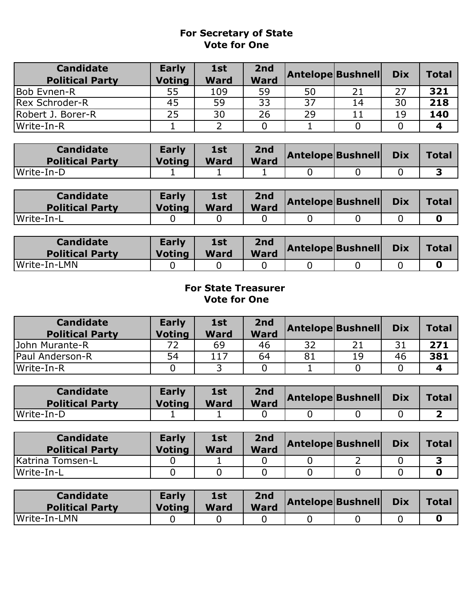#### **For Secretary of State Vote for One**

| <b>Candidate</b><br><b>Political Party</b> | <b>Early</b><br><b>Voting</b> | 1st<br><b>Ward</b> | 2nd<br><b>Ward</b> | <b>Antelope Bushnell</b> |    | <b>Dix</b> | <b>Total</b> |
|--------------------------------------------|-------------------------------|--------------------|--------------------|--------------------------|----|------------|--------------|
| Bob Evnen-R                                | 55                            | 109                | 59                 | 50                       | 21 | つフ         | 321          |
| Rex Schroder-R                             | 45                            | 59                 | 33                 | 37                       | 14 | 30         | 218          |
| Robert J. Borer-R                          | 25                            | 30                 | 26                 | 29                       |    | 19         | 140          |
| lWrite-In-R                                |                               |                    |                    |                          |    |            |              |

| <b>Candidate</b><br><b>Political Party</b> | <b>Early</b><br><b>Voting</b> | <b>1st</b><br><b>Ward</b> | 2nd<br><b>Ward</b> | <b>Antelope Bushnell</b> | <b>Dix</b> | <b>Total</b> |
|--------------------------------------------|-------------------------------|---------------------------|--------------------|--------------------------|------------|--------------|
| Write-In-D                                 |                               |                           |                    |                          |            |              |

| <b>Candidate</b><br><b>Political Party</b> | <b>Early</b><br>Voting | 1st<br><b>Ward</b> | 2nd<br><b>Ward</b> | <b>Antelope Bushnell</b> | <b>Dix</b> | <b>Total</b> |
|--------------------------------------------|------------------------|--------------------|--------------------|--------------------------|------------|--------------|
| Write-In-L                                 |                        |                    |                    |                          |            |              |

| <b>Candidate</b><br><b>Political Party</b> | <b>Early</b><br><b>Voting</b> | 1st<br><b>Ward</b> | 2nd<br><b>Ward</b> | Antelope Bushnell | <b>Dix</b> | <b>Total</b> |
|--------------------------------------------|-------------------------------|--------------------|--------------------|-------------------|------------|--------------|
| Write-In-LMN                               |                               |                    |                    |                   |            |              |

#### **For State Treasurer Vote for One**

| <b>Candidate</b><br><b>Political Party</b> | <b>Early</b><br><b>Voting</b> | 1st<br><b>Ward</b> | 2 <sub>nd</sub><br><b>Ward</b> | <b>Antelope Bushnell</b> |     | <b>Dix</b> | <b>Total</b> |
|--------------------------------------------|-------------------------------|--------------------|--------------------------------|--------------------------|-----|------------|--------------|
| John Murante-R                             |                               | 69                 | 46                             | 32                       | י ר |            | 271          |
| Paul Anderson-R                            | 54                            | 117                | 64                             | 81                       | 19  | 46         | 381          |
| lWrite-In-R                                |                               |                    |                                |                          |     |            |              |

| <b>Candidate</b><br><b>Political Party</b> | Early<br>Voting | 1st<br><b>Ward</b> | 2nd<br><b>Ward</b> | <b>Antelope Bushnell</b> | <b>Dix</b> | Total |
|--------------------------------------------|-----------------|--------------------|--------------------|--------------------------|------------|-------|
| Write-In-D                                 |                 | -                  |                    |                          |            |       |

| <b>Candidate</b><br><b>Political Party</b> | <b>Early</b><br><b>Voting</b> | 1st<br><b>Ward</b> | 2nd<br><b>Ward</b> | Antelope Bushnell | <b>Dix</b> | <b>Total</b> |
|--------------------------------------------|-------------------------------|--------------------|--------------------|-------------------|------------|--------------|
| Katrina Tomsen-L                           |                               |                    |                    |                   |            |              |
| lWrite-In-L                                |                               |                    |                    |                   |            |              |

| <b>Candidate</b><br><b>Political Party</b> | <b>Early</b><br><b>Voting</b> | 1st<br><b>Ward</b> | 2nd<br><b>Ward</b> | <b>Antelope Bushnell</b> | <b>Dix</b> | <b>Total</b> |
|--------------------------------------------|-------------------------------|--------------------|--------------------|--------------------------|------------|--------------|
| Write-In-LMN                               |                               |                    |                    |                          |            |              |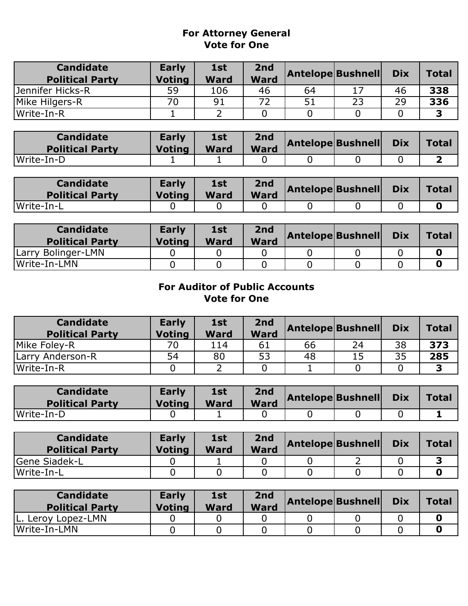#### **Vote for One For Attorney General**

| <b>Candidate</b><br><b>Political Party</b> | <b>Early</b><br><b>Voting</b> | 1st<br>Ward | 2nd<br><b>Ward</b> | Antelope Bushnell |    | <b>Dix</b> | <b>Total</b> |
|--------------------------------------------|-------------------------------|-------------|--------------------|-------------------|----|------------|--------------|
| Jennifer Hicks-R                           | 59                            | 106         | 46                 | 64                |    | 46         | 338          |
| Mike Hilgers-R                             | 70                            | 91          | 72                 | 51                | 23 | 29         | 336          |
| lWrite-In-R                                |                               |             |                    |                   |    |            | ∍            |

| <b>Candidate</b><br><b>Political Party</b> | <b>Early</b><br><b>Voting</b> | <b>1st</b><br><b>Ward</b> | 2nd<br>Ward | <b>Antelope Bushnell</b> | <b>Dix</b> | Total |
|--------------------------------------------|-------------------------------|---------------------------|-------------|--------------------------|------------|-------|
| lWrite-In-D                                |                               | -                         |             |                          |            |       |

| <b>Candidate</b><br><b>Political Party</b> | <b>Early</b><br><b>Voting</b> | <b>1st</b><br><b>Ward</b> | 2nd<br><b>Ward</b> | Antelope Bushnell Dix |  | Total |
|--------------------------------------------|-------------------------------|---------------------------|--------------------|-----------------------|--|-------|
| Write-In-L                                 |                               |                           |                    |                       |  |       |

| <b>Candidate</b><br><b>Political Party</b> | Early<br><b>Voting</b> | 1st<br><b>Ward</b> | 2nd<br><b>Ward</b> | <b>Antelope Bushnell</b> | <b>Dix</b> | <b>Total</b> |
|--------------------------------------------|------------------------|--------------------|--------------------|--------------------------|------------|--------------|
| Larry Bolinger-LMN                         |                        |                    |                    |                          |            |              |
| Write-In-LMN                               |                        |                    |                    |                          |            |              |

#### **Vote for One For Auditor of Public Accounts**

| <b>Candidate</b><br><b>Political Party</b> | <b>Early</b><br><b>Voting</b> | 1st<br><b>Ward</b> | 2nd<br><b>Ward</b> | <b>Antelope Bushnell</b> |    | <b>Dix</b> | <b>Total</b> |
|--------------------------------------------|-------------------------------|--------------------|--------------------|--------------------------|----|------------|--------------|
| Mike Foley-R                               | 70                            | 114                | 61                 | 66                       | 24 | 38         | 373          |
| Larry Anderson-R                           | 54                            | 80                 | 53                 | 48                       | 15 | 35         | 285          |
| lWrite-In-R                                |                               |                    |                    |                          |    |            |              |

| <b>Candidate</b><br><b>Political Party</b> | <b>Early</b><br><b>Voting</b> | 1st<br><b>Ward</b> | 2nd<br><b>Ward</b> | <b>Antelope Bushnell</b> | <b>Dix</b> | Total |
|--------------------------------------------|-------------------------------|--------------------|--------------------|--------------------------|------------|-------|
| Write-In-D                                 |                               |                    |                    |                          |            |       |

| <b>Candidate</b><br><b>Political Party</b> | <b>Early</b><br><b>Voting</b> | 1st<br><b>Ward</b> | 2nd<br><b>Ward</b> | Antelope Bushnell | <b>Dix</b> | <b>Total</b> |
|--------------------------------------------|-------------------------------|--------------------|--------------------|-------------------|------------|--------------|
| <b>SGene Siadek-L</b>                      |                               |                    |                    |                   |            |              |
| Write-In-L                                 |                               |                    |                    |                   |            |              |

| <b>Candidate</b><br><b>Political Party</b> | <b>Early</b><br><b>Voting</b> | 1st<br><b>Ward</b> | 2nd<br><b>Ward</b> | <b>Antelope Bushnell</b> | <b>Dix</b> | Total |
|--------------------------------------------|-------------------------------|--------------------|--------------------|--------------------------|------------|-------|
| L. Leroy Lopez-LMN                         |                               |                    |                    |                          |            |       |
| Write-In-LMN                               |                               |                    |                    |                          |            |       |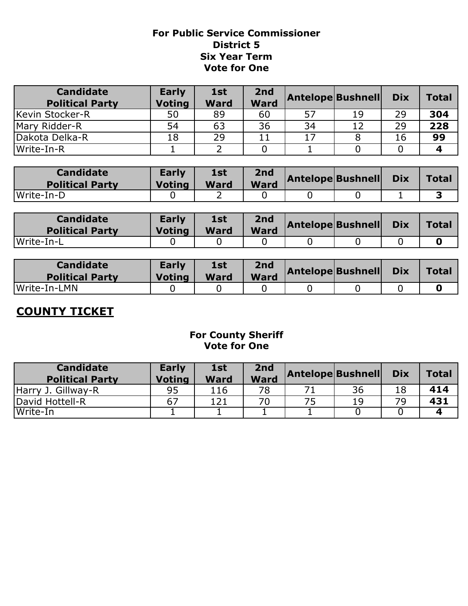#### **District 5 Six Year Term For Public Service Commissioner Vote for One**

| <b>Candidate</b><br><b>Political Party</b> | <b>Early</b><br><b>Voting</b> | 1st<br><b>Ward</b> | 2 <sub>nd</sub><br><b>Ward</b> | <b>Antelope Bushnell</b> |    | <b>Dix</b> | <b>Total</b> |
|--------------------------------------------|-------------------------------|--------------------|--------------------------------|--------------------------|----|------------|--------------|
| Kevin Stocker-R                            | 50                            | 89                 | 60                             | 57                       | 19 | 29         | 304          |
| Mary Ridder-R                              | 54                            | 63                 | 36                             | 34                       | 12 | 29         | 228          |
| Dakota Delka-R                             | 18                            | 29                 |                                |                          |    | 16         | 99           |
| lWrite-In-R                                |                               |                    |                                |                          |    |            |              |

| <b>Candidate</b><br><b>Political Party</b> | <b>Early</b><br><b>Voting</b> | 1st<br><b>Ward</b> | 2nd<br><b>Ward</b> | <b>Antelope Bushnell</b> | <b>Dix</b> | <b>Total</b> |
|--------------------------------------------|-------------------------------|--------------------|--------------------|--------------------------|------------|--------------|
| Write-In-D                                 |                               | -                  |                    |                          |            |              |

| <b>Candidate</b><br><b>Political Party</b> | <b>Early</b><br><b>Voting</b> | <b>1st</b><br><b>Ward</b> | 2nd<br><b>Ward</b> | <b>Antelope Bushnell</b> | <b>Dix</b> | Total |
|--------------------------------------------|-------------------------------|---------------------------|--------------------|--------------------------|------------|-------|
| Write-In-L                                 |                               |                           |                    |                          |            |       |

| <b>Candidate</b><br><b>Political Party</b> | <b>Early</b><br><b>Voting</b> | 1st<br><b>Ward</b> | 2nd<br><b>Ward</b> | Antelope Bushnell Dix |  | Total |
|--------------------------------------------|-------------------------------|--------------------|--------------------|-----------------------|--|-------|
| Write-In-LMN                               |                               |                    |                    |                       |  |       |

# **COUNTY TICKET**

#### **For County Sheriff Vote for One**

| <b>Candidate</b><br><b>Political Party</b> | <b>Early</b><br>Votina | 1st<br><b>Ward</b> | 2nd<br><b>Ward</b> | <b>Antelope Bushnell</b> |    | <b>Dix</b> | <b>Total</b> |
|--------------------------------------------|------------------------|--------------------|--------------------|--------------------------|----|------------|--------------|
| Harry J. Gillway-R                         | 95                     | 116                | 78                 |                          | 36 | 18         | 414          |
| David Hottell-R                            | 67                     | 121                | 70                 | 75                       | 19 | 79         | 431          |
| Write-In                                   |                        |                    |                    |                          |    |            |              |